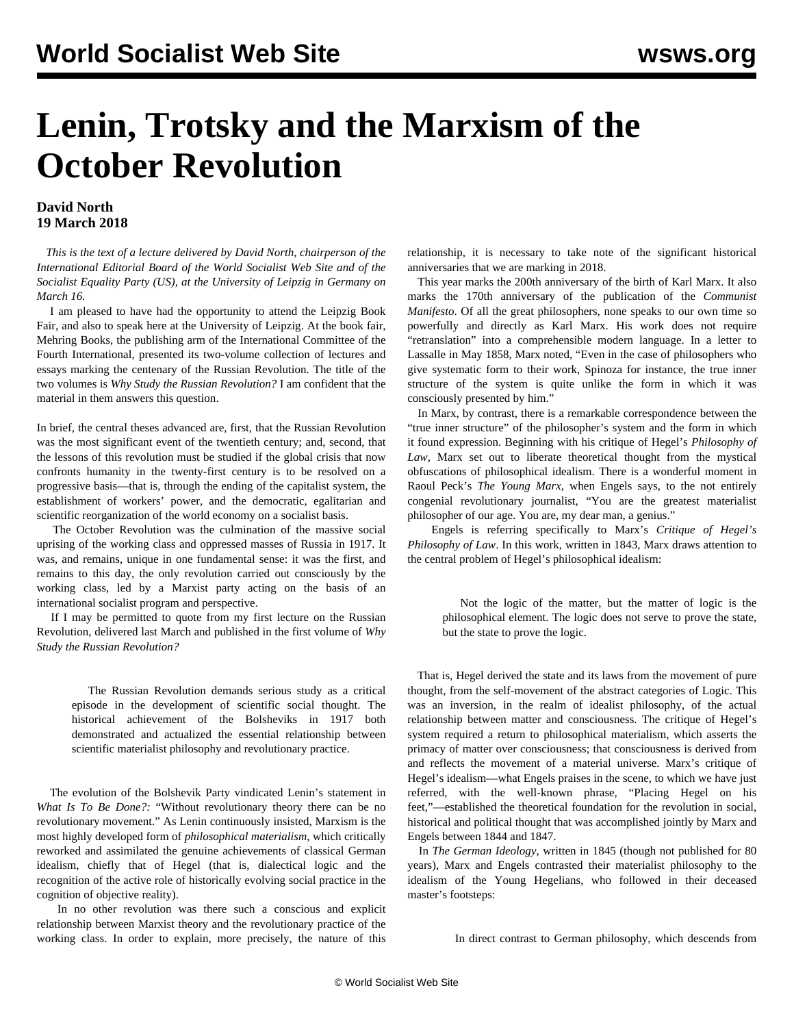## **Lenin, Trotsky and the Marxism of the October Revolution**

## **David North 19 March 2018**

 *This is the text of a lecture delivered by David North, chairperson of the International Editorial Board of the World Socialist Web Site and of the Socialist Equality Party (US), at the University of Leipzig in Germany on March 16.*

 I am pleased to have had the opportunity to attend the Leipzig Book Fair, and also to speak here at the University of Leipzig. At the book fair, Mehring Books, the publishing arm of the International Committee of the Fourth International, presented its two-volume collection of lectures and essays marking the centenary of the Russian Revolution. The title of the two volumes is *Why Study the Russian Revolution?* I am confident that the material in them answers this question.

In brief, the central theses advanced are, first, that the Russian Revolution was the most significant event of the twentieth century; and, second, that the lessons of this revolution must be studied if the global crisis that now confronts humanity in the twenty-first century is to be resolved on a progressive basis—that is, through the ending of the capitalist system, the establishment of workers' power, and the democratic, egalitarian and scientific reorganization of the world economy on a socialist basis.

 The October Revolution was the culmination of the massive social uprising of the working class and oppressed masses of Russia in 1917. It was, and remains, unique in one fundamental sense: it was the first, and remains to this day, the only revolution carried out consciously by the working class, led by a Marxist party acting on the basis of an international socialist program and perspective.

 If I may be permitted to quote from my first lecture on the Russian Revolution, delivered last March and published in the first volume of *Why Study the Russian Revolution?*

 The Russian Revolution demands serious study as a critical episode in the development of scientific social thought. The historical achievement of the Bolsheviks in 1917 both demonstrated and actualized the essential relationship between scientific materialist philosophy and revolutionary practice.

 The evolution of the Bolshevik Party vindicated Lenin's statement in *What Is To Be Done?:* "Without revolutionary theory there can be no revolutionary movement." As Lenin continuously insisted, Marxism is the most highly developed form of *philosophical materialism*, which critically reworked and assimilated the genuine achievements of classical German idealism, chiefly that of Hegel (that is, dialectical logic and the recognition of the active role of historically evolving social practice in the cognition of objective reality).

 In no other revolution was there such a conscious and explicit relationship between Marxist theory and the revolutionary practice of the working class. In order to explain, more precisely, the nature of this relationship, it is necessary to take note of the significant historical anniversaries that we are marking in 2018.

 This year marks the 200th anniversary of the birth of Karl Marx. It also marks the 170th anniversary of the publication of the *Communist Manifesto*. Of all the great philosophers, none speaks to our own time so powerfully and directly as Karl Marx. His work does not require "retranslation" into a comprehensible modern language. In a letter to Lassalle in May 1858, Marx noted, "Even in the case of philosophers who give systematic form to their work, Spinoza for instance, the true inner structure of the system is quite unlike the form in which it was consciously presented by him."

 In Marx, by contrast, there is a remarkable correspondence between the "true inner structure" of the philosopher's system and the form in which it found expression. Beginning with his critique of Hegel's *Philosophy of Law*, Marx set out to liberate theoretical thought from the mystical obfuscations of philosophical idealism. There is a wonderful moment in Raoul Peck's *The Young Marx,* when Engels says, to the not entirely congenial revolutionary journalist, "You are the greatest materialist philosopher of our age. You are, my dear man, a genius."

 Engels is referring specifically to Marx's *Critique of Hegel's Philosophy of Law*. In this work, written in 1843, Marx draws attention to the central problem of Hegel's philosophical idealism:

 Not the logic of the matter, but the matter of logic is the philosophical element. The logic does not serve to prove the state, but the state to prove the logic.

 That is, Hegel derived the state and its laws from the movement of pure thought, from the self-movement of the abstract categories of Logic. This was an inversion, in the realm of idealist philosophy, of the actual relationship between matter and consciousness. The critique of Hegel's system required a return to philosophical materialism, which asserts the primacy of matter over consciousness; that consciousness is derived from and reflects the movement of a material universe. Marx's critique of Hegel's idealism—what Engels praises in the scene, to which we have just referred, with the well-known phrase, "Placing Hegel on his feet,"—established the theoretical foundation for the revolution in social, historical and political thought that was accomplished jointly by Marx and Engels between 1844 and 1847.

 In *The German Ideology*, written in 1845 (though not published for 80 years), Marx and Engels contrasted their materialist philosophy to the idealism of the Young Hegelians, who followed in their deceased master's footsteps:

In direct contrast to German philosophy, which descends from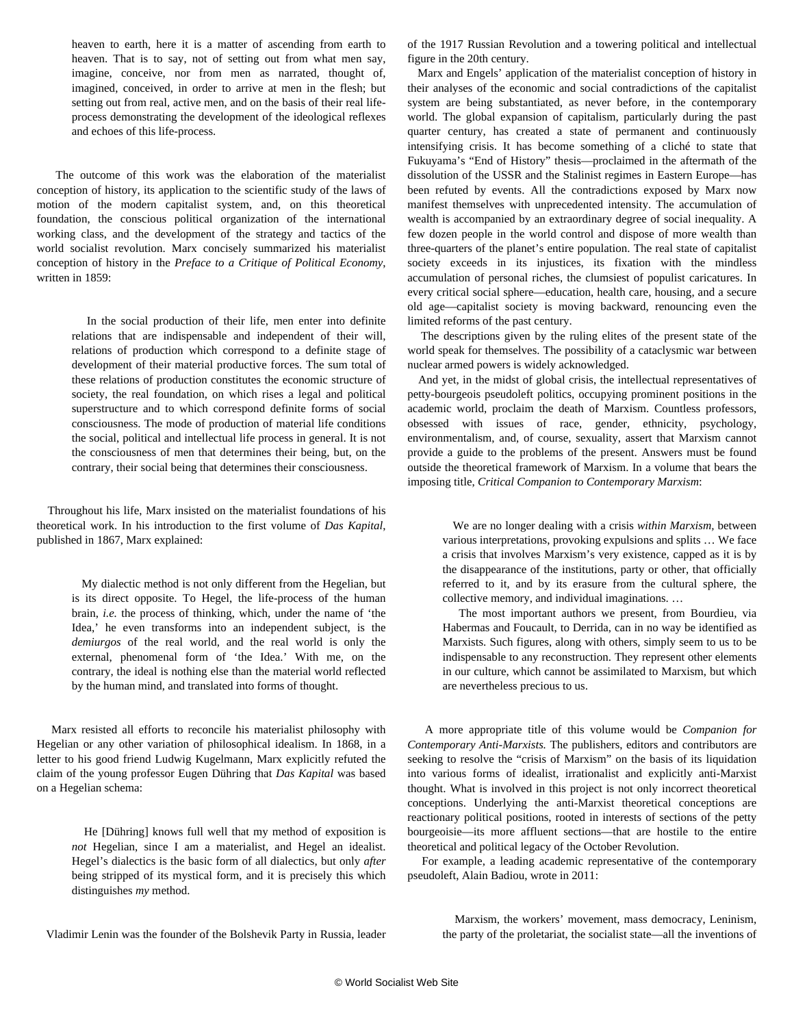heaven to earth, here it is a matter of ascending from earth to heaven. That is to say, not of setting out from what men say, imagine, conceive, nor from men as narrated, thought of, imagined, conceived, in order to arrive at men in the flesh; but setting out from real, active men, and on the basis of their real lifeprocess demonstrating the development of the ideological reflexes and echoes of this life-process.

 The outcome of this work was the elaboration of the materialist conception of history, its application to the scientific study of the laws of motion of the modern capitalist system, and, on this theoretical foundation, the conscious political organization of the international working class, and the development of the strategy and tactics of the world socialist revolution. Marx concisely summarized his materialist conception of history in the *Preface to a Critique of Political Economy*, written in 1859:

 In the social production of their life, men enter into definite relations that are indispensable and independent of their will, relations of production which correspond to a definite stage of development of their material productive forces. The sum total of these relations of production constitutes the economic structure of society, the real foundation, on which rises a legal and political superstructure and to which correspond definite forms of social consciousness. The mode of production of material life conditions the social, political and intellectual life process in general. It is not the consciousness of men that determines their being, but, on the contrary, their social being that determines their consciousness.

 Throughout his life, Marx insisted on the materialist foundations of his theoretical work. In his introduction to the first volume of *Das Kapital*, published in 1867, Marx explained:

> My dialectic method is not only different from the Hegelian, but is its direct opposite. To Hegel, the life-process of the human brain, *i.e.* the process of thinking, which, under the name of 'the Idea,' he even transforms into an independent subject, is the *demiurgos* of the real world, and the real world is only the external, phenomenal form of 'the Idea.' With me, on the contrary, the ideal is nothing else than the material world reflected by the human mind, and translated into forms of thought.

 Marx resisted all efforts to reconcile his materialist philosophy with Hegelian or any other variation of philosophical idealism. In 1868, in a letter to his good friend Ludwig Kugelmann, Marx explicitly refuted the claim of the young professor Eugen Dühring that *Das Kapital* was based on a Hegelian schema:

 He [Dühring] knows full well that my method of exposition is *not* Hegelian, since I am a materialist, and Hegel an idealist. Hegel's dialectics is the basic form of all dialectics, but only *after* being stripped of its mystical form, and it is precisely this which distinguishes *my* method.

of the 1917 Russian Revolution and a towering political and intellectual figure in the 20th century.

 Marx and Engels' application of the materialist conception of history in their analyses of the economic and social contradictions of the capitalist system are being substantiated, as never before, in the contemporary world. The global expansion of capitalism, particularly during the past quarter century, has created a state of permanent and continuously intensifying crisis. It has become something of a cliché to state that Fukuyama's "End of History" thesis—proclaimed in the aftermath of the dissolution of the USSR and the Stalinist regimes in Eastern Europe—has been refuted by events. All the contradictions exposed by Marx now manifest themselves with unprecedented intensity. The accumulation of wealth is accompanied by an extraordinary degree of social inequality. A few dozen people in the world control and dispose of more wealth than three-quarters of the planet's entire population. The real state of capitalist society exceeds in its injustices, its fixation with the mindless accumulation of personal riches, the clumsiest of populist caricatures. In every critical social sphere—education, health care, housing, and a secure old age—capitalist society is moving backward, renouncing even the limited reforms of the past century.

 The descriptions given by the ruling elites of the present state of the world speak for themselves. The possibility of a cataclysmic war between nuclear armed powers is widely acknowledged.

 And yet, in the midst of global crisis, the intellectual representatives of petty-bourgeois pseudoleft politics, occupying prominent positions in the academic world, proclaim the death of Marxism. Countless professors, obsessed with issues of race, gender, ethnicity, psychology, environmentalism, and, of course, sexuality, assert that Marxism cannot provide a guide to the problems of the present. Answers must be found outside the theoretical framework of Marxism. In a volume that bears the imposing title, *Critical Companion to Contemporary Marxism*:

 We are no longer dealing with a crisis *within Marxism,* between various interpretations, provoking expulsions and splits … We face a crisis that involves Marxism's very existence, capped as it is by the disappearance of the institutions, party or other, that officially referred to it, and by its erasure from the cultural sphere, the collective memory, and individual imaginations. …

 The most important authors we present, from Bourdieu, via Habermas and Foucault, to Derrida, can in no way be identified as Marxists. Such figures, along with others, simply seem to us to be indispensable to any reconstruction. They represent other elements in our culture, which cannot be assimilated to Marxism, but which are nevertheless precious to us.

 A more appropriate title of this volume would be *Companion for Contemporary Anti-Marxists.* The publishers, editors and contributors are seeking to resolve the "crisis of Marxism" on the basis of its liquidation into various forms of idealist, irrationalist and explicitly anti-Marxist thought. What is involved in this project is not only incorrect theoretical conceptions. Underlying the anti-Marxist theoretical conceptions are reactionary political positions, rooted in interests of sections of the petty bourgeoisie—its more affluent sections—that are hostile to the entire theoretical and political legacy of the October Revolution.

 For example, a leading academic representative of the contemporary pseudoleft, Alain Badiou, wrote in 2011:

 Marxism, the workers' movement, mass democracy, Leninism, the party of the proletariat, the socialist state—all the inventions of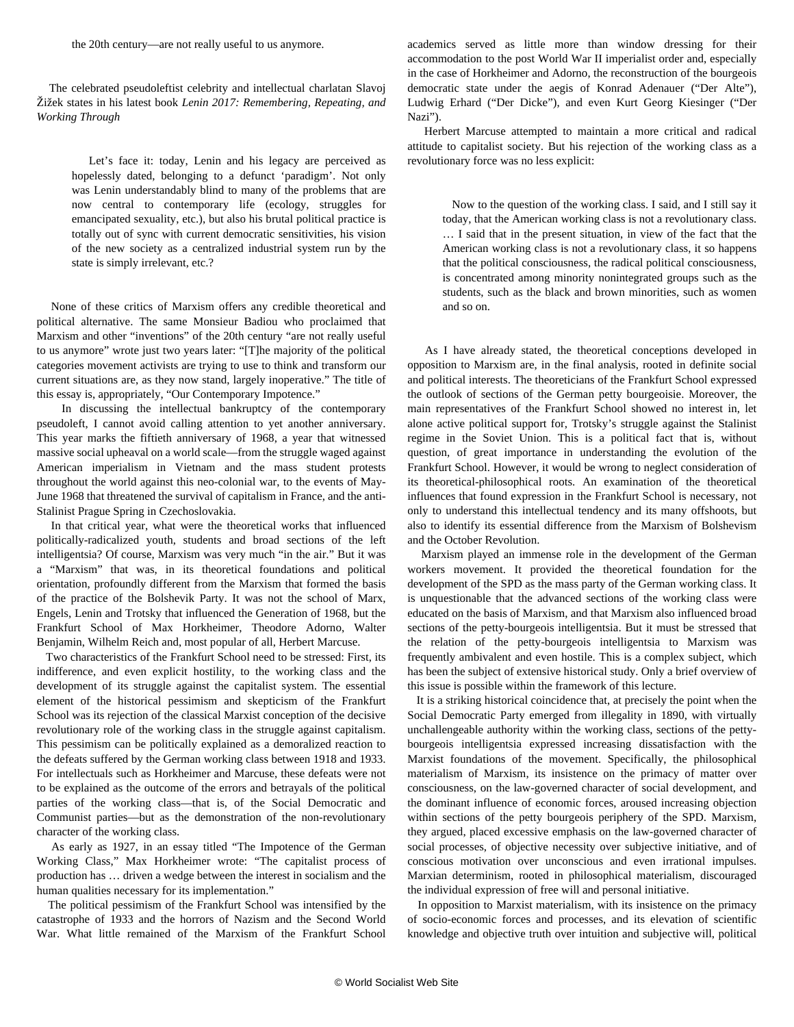The celebrated pseudoleftist celebrity and intellectual charlatan Slavoj Žižek states in his latest book *Lenin 2017: Remembering, Repeating, and Working Through*

 Let's face it: today, Lenin and his legacy are perceived as hopelessly dated, belonging to a defunct 'paradigm'. Not only was Lenin understandably blind to many of the problems that are now central to contemporary life (ecology, struggles for emancipated sexuality, etc.), but also his brutal political practice is totally out of sync with current democratic sensitivities, his vision of the new society as a centralized industrial system run by the state is simply irrelevant, etc.?

 None of these critics of Marxism offers any credible theoretical and political alternative. The same Monsieur Badiou who proclaimed that Marxism and other "inventions" of the 20th century "are not really useful to us anymore" wrote just two years later: "[T]he majority of the political categories movement activists are trying to use to think and transform our current situations are, as they now stand, largely inoperative." The title of this essay is, appropriately, "Our Contemporary Impotence."

 In discussing the intellectual bankruptcy of the contemporary pseudoleft, I cannot avoid calling attention to yet another anniversary. This year marks the fiftieth anniversary of 1968, a year that witnessed massive social upheaval on a world scale—from the struggle waged against American imperialism in Vietnam and the mass student protests throughout the world against this neo-colonial war, to the events of May-June 1968 that threatened the survival of capitalism in France, and the anti-Stalinist Prague Spring in Czechoslovakia.

 In that critical year, what were the theoretical works that influenced politically-radicalized youth, students and broad sections of the left intelligentsia? Of course, Marxism was very much "in the air." But it was a "Marxism" that was, in its theoretical foundations and political orientation, profoundly different from the Marxism that formed the basis of the practice of the Bolshevik Party. It was not the school of Marx, Engels, Lenin and Trotsky that influenced the Generation of 1968, but the Frankfurt School of Max Horkheimer, Theodore Adorno, Walter Benjamin, Wilhelm Reich and, most popular of all, Herbert Marcuse.

 Two characteristics of the Frankfurt School need to be stressed: First, its indifference, and even explicit hostility, to the working class and the development of its struggle against the capitalist system. The essential element of the historical pessimism and skepticism of the Frankfurt School was its rejection of the classical Marxist conception of the decisive revolutionary role of the working class in the struggle against capitalism. This pessimism can be politically explained as a demoralized reaction to the defeats suffered by the German working class between 1918 and 1933. For intellectuals such as Horkheimer and Marcuse, these defeats were not to be explained as the outcome of the errors and betrayals of the political parties of the working class—that is, of the Social Democratic and Communist parties—but as the demonstration of the non-revolutionary character of the working class.

 As early as 1927, in an essay titled "The Impotence of the German Working Class," Max Horkheimer wrote: "The capitalist process of production has … driven a wedge between the interest in socialism and the human qualities necessary for its implementation."

 The political pessimism of the Frankfurt School was intensified by the catastrophe of 1933 and the horrors of Nazism and the Second World War. What little remained of the Marxism of the Frankfurt School academics served as little more than window dressing for their accommodation to the post World War II imperialist order and, especially in the case of Horkheimer and Adorno, the reconstruction of the bourgeois democratic state under the aegis of Konrad Adenauer ("Der Alte"), Ludwig Erhard ("Der Dicke"), and even Kurt Georg Kiesinger ("Der Nazi").

 Herbert Marcuse attempted to maintain a more critical and radical attitude to capitalist society. But his rejection of the working class as a revolutionary force was no less explicit:

 Now to the question of the working class. I said, and I still say it today, that the American working class is not a revolutionary class. … I said that in the present situation, in view of the fact that the American working class is not a revolutionary class, it so happens that the political consciousness, the radical political consciousness, is concentrated among minority nonintegrated groups such as the students, such as the black and brown minorities, such as women and so on.

 As I have already stated, the theoretical conceptions developed in opposition to Marxism are, in the final analysis, rooted in definite social and political interests. The theoreticians of the Frankfurt School expressed the outlook of sections of the German petty bourgeoisie. Moreover, the main representatives of the Frankfurt School showed no interest in, let alone active political support for, Trotsky's struggle against the Stalinist regime in the Soviet Union. This is a political fact that is, without question, of great importance in understanding the evolution of the Frankfurt School. However, it would be wrong to neglect consideration of its theoretical-philosophical roots. An examination of the theoretical influences that found expression in the Frankfurt School is necessary, not only to understand this intellectual tendency and its many offshoots, but also to identify its essential difference from the Marxism of Bolshevism and the October Revolution.

 Marxism played an immense role in the development of the German workers movement. It provided the theoretical foundation for the development of the SPD as the mass party of the German working class. It is unquestionable that the advanced sections of the working class were educated on the basis of Marxism, and that Marxism also influenced broad sections of the petty-bourgeois intelligentsia. But it must be stressed that the relation of the petty-bourgeois intelligentsia to Marxism was frequently ambivalent and even hostile. This is a complex subject, which has been the subject of extensive historical study. Only a brief overview of this issue is possible within the framework of this lecture.

 It is a striking historical coincidence that, at precisely the point when the Social Democratic Party emerged from illegality in 1890, with virtually unchallengeable authority within the working class, sections of the pettybourgeois intelligentsia expressed increasing dissatisfaction with the Marxist foundations of the movement. Specifically, the philosophical materialism of Marxism, its insistence on the primacy of matter over consciousness, on the law-governed character of social development, and the dominant influence of economic forces, aroused increasing objection within sections of the petty bourgeois periphery of the SPD. Marxism, they argued, placed excessive emphasis on the law-governed character of social processes, of objective necessity over subjective initiative, and of conscious motivation over unconscious and even irrational impulses. Marxian determinism, rooted in philosophical materialism, discouraged the individual expression of free will and personal initiative.

 In opposition to Marxist materialism, with its insistence on the primacy of socio-economic forces and processes, and its elevation of scientific knowledge and objective truth over intuition and subjective will, political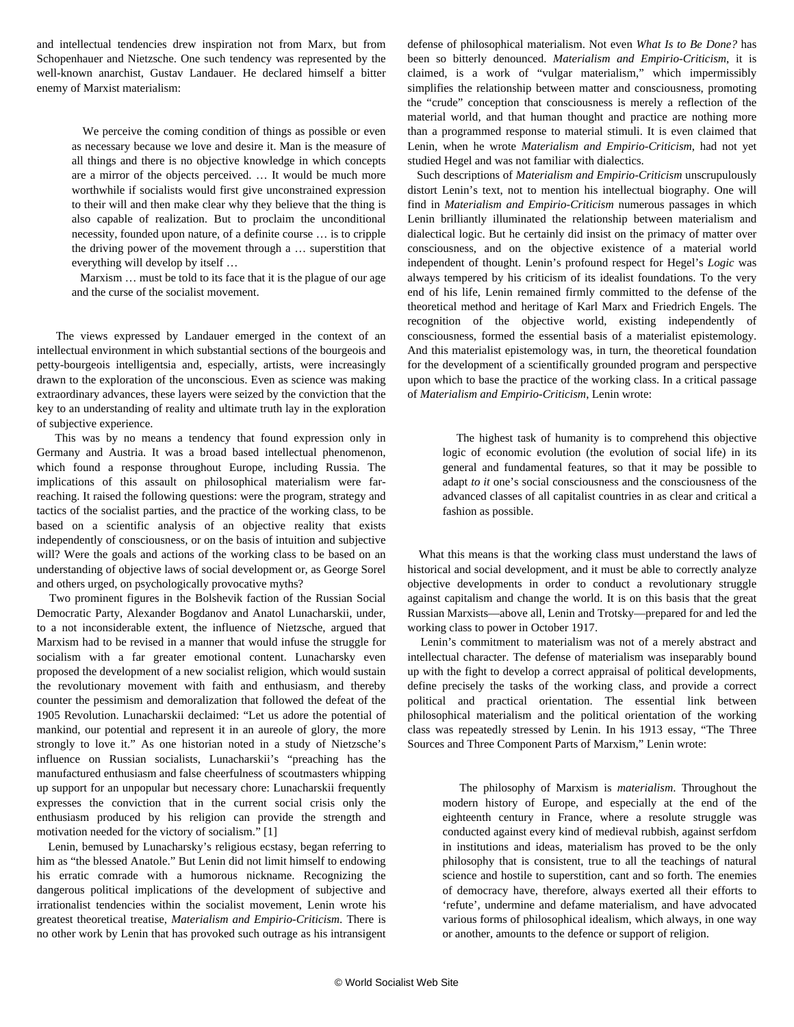and intellectual tendencies drew inspiration not from Marx, but from Schopenhauer and Nietzsche. One such tendency was represented by the well-known anarchist, Gustav Landauer. He declared himself a bitter enemy of Marxist materialism:

 We perceive the coming condition of things as possible or even as necessary because we love and desire it. Man is the measure of all things and there is no objective knowledge in which concepts are a mirror of the objects perceived. … It would be much more worthwhile if socialists would first give unconstrained expression to their will and then make clear why they believe that the thing is also capable of realization. But to proclaim the unconditional necessity, founded upon nature, of a definite course … is to cripple the driving power of the movement through a … superstition that everything will develop by itself …

 Marxism … must be told to its face that it is the plague of our age and the curse of the socialist movement.

 The views expressed by Landauer emerged in the context of an intellectual environment in which substantial sections of the bourgeois and petty-bourgeois intelligentsia and, especially, artists, were increasingly drawn to the exploration of the unconscious. Even as science was making extraordinary advances, these layers were seized by the conviction that the key to an understanding of reality and ultimate truth lay in the exploration of subjective experience.

 This was by no means a tendency that found expression only in Germany and Austria. It was a broad based intellectual phenomenon, which found a response throughout Europe, including Russia. The implications of this assault on philosophical materialism were farreaching. It raised the following questions: were the program, strategy and tactics of the socialist parties, and the practice of the working class, to be based on a scientific analysis of an objective reality that exists independently of consciousness, or on the basis of intuition and subjective will? Were the goals and actions of the working class to be based on an understanding of objective laws of social development or, as George Sorel and others urged, on psychologically provocative myths?

 Two prominent figures in the Bolshevik faction of the Russian Social Democratic Party, Alexander Bogdanov and Anatol Lunacharskii, under, to a not inconsiderable extent, the influence of Nietzsche, argued that Marxism had to be revised in a manner that would infuse the struggle for socialism with a far greater emotional content. Lunacharsky even proposed the development of a new socialist religion, which would sustain the revolutionary movement with faith and enthusiasm, and thereby counter the pessimism and demoralization that followed the defeat of the 1905 Revolution. Lunacharskii declaimed: "Let us adore the potential of mankind, our potential and represent it in an aureole of glory, the more strongly to love it." As one historian noted in a study of Nietzsche's influence on Russian socialists, Lunacharskii's "preaching has the manufactured enthusiasm and false cheerfulness of scoutmasters whipping up support for an unpopular but necessary chore: Lunacharskii frequently expresses the conviction that in the current social crisis only the enthusiasm produced by his religion can provide the strength and motivation needed for the victory of socialism." [1]

 Lenin, bemused by Lunacharsky's religious ecstasy, began referring to him as "the blessed Anatole." But Lenin did not limit himself to endowing his erratic comrade with a humorous nickname. Recognizing the dangerous political implications of the development of subjective and irrationalist tendencies within the socialist movement, Lenin wrote his greatest theoretical treatise, *Materialism and Empirio-Criticism*. There is no other work by Lenin that has provoked such outrage as his intransigent defense of philosophical materialism. Not even *What Is to Be Done?* has been so bitterly denounced. *Materialism and Empirio-Criticism*, it is claimed, is a work of "vulgar materialism," which impermissibly simplifies the relationship between matter and consciousness, promoting the "crude" conception that consciousness is merely a reflection of the material world, and that human thought and practice are nothing more than a programmed response to material stimuli. It is even claimed that Lenin, when he wrote *Materialism and Empirio-Criticism*, had not yet studied Hegel and was not familiar with dialectics.

 Such descriptions of *Materialism and Empirio-Criticism* unscrupulously distort Lenin's text, not to mention his intellectual biography. One will find in *Materialism and Empirio-Criticism* numerous passages in which Lenin brilliantly illuminated the relationship between materialism and dialectical logic. But he certainly did insist on the primacy of matter over consciousness, and on the objective existence of a material world independent of thought. Lenin's profound respect for Hegel's *Logic* was always tempered by his criticism of its idealist foundations. To the very end of his life, Lenin remained firmly committed to the defense of the theoretical method and heritage of Karl Marx and Friedrich Engels. The recognition of the objective world, existing independently of consciousness, formed the essential basis of a materialist epistemology. And this materialist epistemology was, in turn, the theoretical foundation for the development of a scientifically grounded program and perspective upon which to base the practice of the working class. In a critical passage of *Materialism and Empirio-Criticism*, Lenin wrote:

 The highest task of humanity is to comprehend this objective logic of economic evolution (the evolution of social life) in its general and fundamental features, so that it may be possible to adapt *to it* one's social consciousness and the consciousness of the advanced classes of all capitalist countries in as clear and critical a fashion as possible.

 What this means is that the working class must understand the laws of historical and social development, and it must be able to correctly analyze objective developments in order to conduct a revolutionary struggle against capitalism and change the world. It is on this basis that the great Russian Marxists—above all, Lenin and Trotsky—prepared for and led the working class to power in October 1917.

 Lenin's commitment to materialism was not of a merely abstract and intellectual character. The defense of materialism was inseparably bound up with the fight to develop a correct appraisal of political developments, define precisely the tasks of the working class, and provide a correct political and practical orientation. The essential link between philosophical materialism and the political orientation of the working class was repeatedly stressed by Lenin. In his 1913 essay, "The Three Sources and Three Component Parts of Marxism," Lenin wrote:

 The philosophy of Marxism is *materialism*. Throughout the modern history of Europe, and especially at the end of the eighteenth century in France, where a resolute struggle was conducted against every kind of medieval rubbish, against serfdom in institutions and ideas, materialism has proved to be the only philosophy that is consistent, true to all the teachings of natural science and hostile to superstition, cant and so forth. The enemies of democracy have, therefore, always exerted all their efforts to 'refute', undermine and defame materialism, and have advocated various forms of philosophical idealism, which always, in one way or another, amounts to the defence or support of religion.